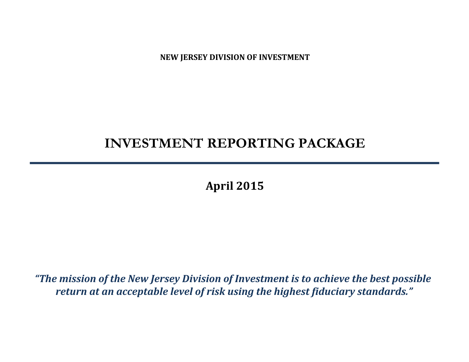**NEW JERSEY DIVISION OF INVESTMENT**

# **INVESTMENT REPORTING PACKAGE**

**April 2015**

*"The mission of the New Jersey Division of Investment is to achieve the best possible return at an acceptable level of risk using the highest fiduciary standards."*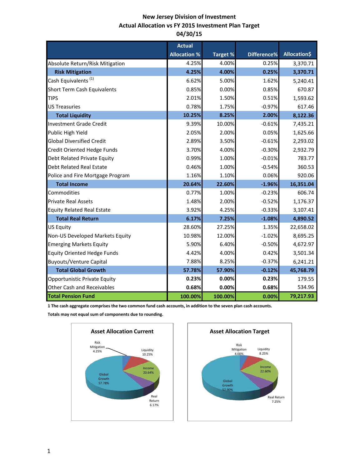# **New Jersey Division of Investment Actual Allocation vs FY 2015 Investment Plan Target 04/30/15**

|                                    | <b>Actual</b>       |                 |             |                     |
|------------------------------------|---------------------|-----------------|-------------|---------------------|
|                                    | <b>Allocation %</b> | <b>Target %</b> | Difference% | <b>Allocation\$</b> |
| Absolute Return/Risk Mitigation    | 4.25%               | 4.00%           | 0.25%       | 3,370.71            |
| <b>Risk Mitigation</b>             | 4.25%               | 4.00%           | 0.25%       | 3,370.71            |
| Cash Equivalents <sup>(1)</sup>    | 6.62%               | 5.00%           | 1.62%       | 5,240.41            |
| Short Term Cash Equivalents        | 0.85%               | 0.00%           | 0.85%       | 670.87              |
| <b>TIPS</b>                        | 2.01%               | 1.50%           | 0.51%       | 1,593.62            |
| <b>US Treasuries</b>               | 0.78%               | 1.75%           | $-0.97%$    | 617.46              |
| <b>Total Liquidity</b>             | 10.25%              | 8.25%           | 2.00%       | 8,122.36            |
| <b>Investment Grade Credit</b>     | 9.39%               | 10.00%          | $-0.61%$    | 7,435.21            |
| Public High Yield                  | 2.05%               | 2.00%           | 0.05%       | 1,625.66            |
| <b>Global Diversified Credit</b>   | 2.89%               | 3.50%           | $-0.61%$    | 2,293.02            |
| Credit Oriented Hedge Funds        | 3.70%               | 4.00%           | $-0.30%$    | 2,932.79            |
| Debt Related Private Equity        | 0.99%               | 1.00%           | $-0.01%$    | 783.77              |
| <b>Debt Related Real Estate</b>    | 0.46%               | 1.00%           | $-0.54%$    | 360.53              |
| Police and Fire Mortgage Program   | 1.16%               | 1.10%           | 0.06%       | 920.06              |
| <b>Total Income</b>                | 20.64%              | 22.60%          | $-1.96%$    | 16,351.04           |
| Commodities                        | 0.77%               | 1.00%           | $-0.23%$    | 606.74              |
| <b>Private Real Assets</b>         | 1.48%               | 2.00%           | $-0.52%$    | 1,176.37            |
| <b>Equity Related Real Estate</b>  | 3.92%               | 4.25%           | $-0.33%$    | 3,107.41            |
| <b>Total Real Return</b>           | 6.17%               | 7.25%           | $-1.08%$    | 4,890.52            |
| <b>US Equity</b>                   | 28.60%              | 27.25%          | 1.35%       | 22,658.02           |
| Non-US Developed Markets Equity    | 10.98%              | 12.00%          | $-1.02%$    | 8,695.25            |
| <b>Emerging Markets Equity</b>     | 5.90%               | 6.40%           | $-0.50%$    | 4,672.97            |
| <b>Equity Oriented Hedge Funds</b> | 4.42%               | 4.00%           | 0.42%       | 3,501.34            |
| <b>Buyouts/Venture Capital</b>     | 7.88%               | 8.25%           | $-0.37%$    | 6,241.21            |
| <b>Total Global Growth</b>         | 57.78%              | 57.90%          | $-0.12%$    | 45,768.79           |
| Opportunistic Private Equity       | 0.23%               | 0.00%           | 0.23%       | 179.55              |
| <b>Other Cash and Receivables</b>  | 0.68%               | 0.00%           | 0.68%       | 534.96              |
| <b>Total Pension Fund</b>          | 100.00%             | 100.00%         | 0.00%       | 79,217.93           |

**1 The cash aggregate comprises the two common fund cash accounts, in addition to the seven plan cash accounts.** 

**Totals may not equal sum of components due to rounding.**



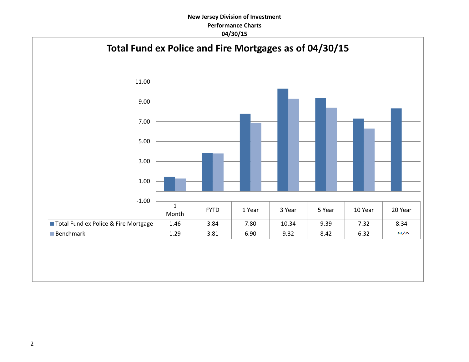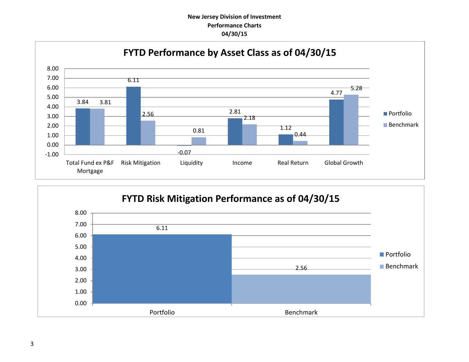

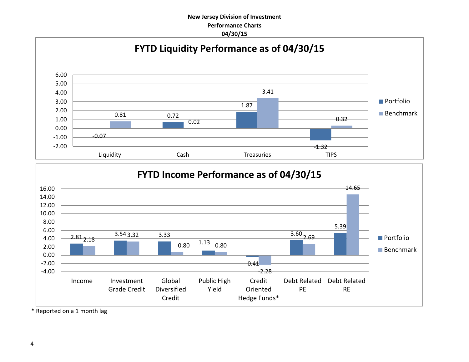



\* Reported on a 1 month lag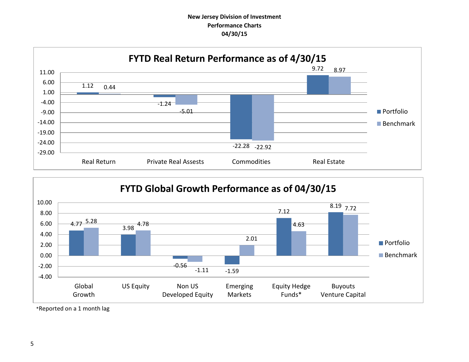



\*Reported on a 1 month lag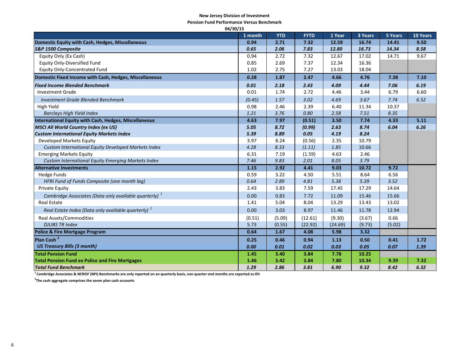#### **New Jersey Division of Investment**

**Pension Fund Performance Versus Benchmark**

| 04/30/15                                                          |         |            |             |         |         |         |          |
|-------------------------------------------------------------------|---------|------------|-------------|---------|---------|---------|----------|
|                                                                   | 1 month | <b>YTD</b> | <b>FYTD</b> | 1 Year  | 3 Years | 5 Years | 10 Years |
| Domestic Equity with Cash, Hedges, Miscellaneous                  | 0.94    | 2.71       | 7.32        | 12.59   | 16.74   | 14.41   | 9.50     |
| S&P 1500 Composite                                                | 0.65    | 2.06       | 7.83        | 12.80   | 16.73   | 14.34   | 8.58     |
| Equity Only (Ex Cash)                                             | 0.94    | 2.72       | 7.32        | 12.67   | 17.02   | 14.71   | 9.67     |
| <b>Equity Only-Diversified Fund</b>                               | 0.85    | 2.69       | 7.37        | 12.34   | 16.36   |         |          |
| <b>Equity Only-Concentrated Fund</b>                              | 1.02    | 2.75       | 7.27        | 13.03   | 18.04   |         |          |
| Domestic Fixed Income with Cash, Hedges, Miscellaneous            | 0.28    | 1.87       | 2.47        | 4.66    | 4.76    | 7.38    | 7.10     |
| <b>Fixed Income Blended Benchmark</b>                             | 0.01    | 2.18       | 2.43        | 4.09    | 4.44    | 7.06    | 6.19     |
| <b>Investment Grade</b>                                           | 0.01    | 1.74       | 2.72        | 4.46    | 3.44    | 6.79    | 6.60     |
| <b>Investment Grade Blended Benchmark</b>                         | (0.45)  | 1.57       | 3.02        | 4.69    | 3.67    | 7.74    | 6.52     |
| High Yield                                                        | 0.98    | 2.46       | 2.39        | 6.40    | 11.34   | 10.37   |          |
| <b>Barclays High Yield Index</b>                                  | 1.21    | 3.76       | 0.80        | 2.58    | 7.51    | 8.35    |          |
| <b>International Equity with Cash, Hedges, Miscellaneous</b>      | 4.63    | 7.97       | (0.51)      | 3.50    | 7.74    | 4.33    | 5.11     |
| <b>MSCI All World Country Index (ex US)</b>                       | 5.05    | 8.72       | (0.99)      | 2.63    | 8.74    | 6.04    | 6.26     |
| <b>Custom International Equity Markets Index</b>                  | 5.39    | 8.89       | 0.05        | 4.19    | 8.24    |         |          |
| Developed Markets Equity                                          | 3.97    | 8.24       | (0.56)      | 2.35    | 10.79   |         |          |
| Custom International Equity Developed Markets Index               | 4.28    | 8.33       | (1.11)      | 1.85    | 10.66   |         |          |
| <b>Emerging Markets Equity</b>                                    | 6.31    | 7.19       | (1.59)      | 4.63    | 2.46    |         |          |
| Custom International Equity Emerging Markets Index                | 7.46    | 9.83       | 2.01        | 8.05    | 3.79    |         |          |
| <b>Alternative Investments</b>                                    | 1.15    | 2.92       | 4.41        | 9.03    | 10.72   | 9.72    |          |
| <b>Hedge Funds</b>                                                | 0.59    | 3.22       | 4.50        | 5.51    | 8.64    | 6.56    |          |
| HFRI Fund of Funds Composite (one month lag)                      | 0.64    | 2.89       | 4.81        | 5.38    | 5.39    | 3.52    |          |
| <b>Private Equity</b>                                             | 2.43    | 3.83       | 7.59        | 17.45   | 17.29   | 14.64   |          |
| Cambridge Associates (Data only available quarterly) <sup>1</sup> | 0.00    | 0.83       | 7.72        | 11.09   | 15.46   | 15.66   |          |
| <b>Real Estate</b>                                                | 1.41    | 5.04       | 8.04        | 13.29   | 13.43   | 13.02   |          |
| Real Estate Index (Data only available quarterly) $1$             | 0.00    | 3.03       | 8.97        | 11.46   | 11.78   | 12.94   |          |
| <b>Real Assets/Commodities</b>                                    | (0.51)  | (5.09)     | (12.61)     | (9.30)  | (3.67)  | 0.66    |          |
| <b>DJUBS TR Index</b>                                             | 5.73    | (0.55)     | (22.92)     | (24.69) | (9.73)  | (5.02)  |          |
| <b>Police &amp; Fire Mortgage Program</b>                         | 0.64    | 1.67       | 4.08        | 5.98    | 3.32    |         |          |
| Plan Cash <sup>2</sup>                                            | 0.25    | 0.46       | 0.94        | 1.13    | 0.50    | 0.41    | 1.72     |
| <b>US Treasury Bills (3 month)</b>                                | 0.00    | 0.01       | 0.02        | 0.03    | 0.05    | 0.07    | 1.39     |
| <b>Total Pension Fund</b>                                         | 1.45    | 3.40       | 3.84        | 7.78    | 10.25   |         |          |
| <b>Total Pension Fund ex Police and Fire Mortgages</b>            | 1.46    | 3.42       | 3.84        | 7.80    | 10.34   | 9.39    | 7.32     |
| <b>Total Fund Benchmark</b>                                       | 1.29    | 2.86       | 3.81        | 6.90    | 9.32    | 8.42    | 6.32     |

**1 Cambridge Associates & NCREIF (NPI) Benchmarks are only reported on an quarterly basis, non quarter-end months are reported as 0%**

**2 The cash aggregate comprises the seven plan cash accounts**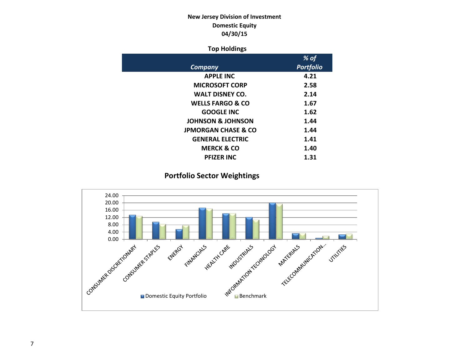# **New Jersey Division of Investment Domestic Equity 04/30/15**

## **Top Holdings**

|                                | % of             |
|--------------------------------|------------------|
| Company                        | <b>Portfolio</b> |
| <b>APPLE INC</b>               | 4.21             |
| <b>MICROSOFT CORP</b>          | 2.58             |
| <b>WALT DISNEY CO.</b>         | 2.14             |
| <b>WELLS FARGO &amp; CO</b>    | 1.67             |
| <b>GOOGLE INC</b>              | 1.62             |
| <b>JOHNSON &amp; JOHNSON</b>   | 1.44             |
| <b>JPMORGAN CHASE &amp; CO</b> | 1.44             |
| <b>GENERAL ELECTRIC</b>        | 1.41             |
| <b>MERCK &amp; CO</b>          | 1.40             |
| <b>PFIZER INC</b>              | 1.31             |

# **Portfolio Sector Weightings**

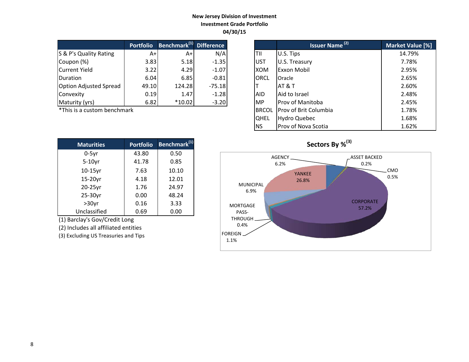## **New Jersey Division of Investment Investment Grade Portfolio 04/30/15**

|                               | <b>Portfolio</b> | Benchmark <sup>(1)</sup> Difference |          |             | <b>Issuer Name<sup>(2)</sup></b> | <b>Market Valu</b> |
|-------------------------------|------------------|-------------------------------------|----------|-------------|----------------------------------|--------------------|
| S & P's Quality Rating        | A+               | A+                                  | N/A      | TII         | U.S. Tips                        | 14.79%             |
| Coupon (%)                    | 3.83             | 5.18                                | $-1.35$  | <b>UST</b>  | U.S. Treasury                    | 7.78%              |
| Current Yield                 | 3.22             | 4.29                                | $-1.07$  | <b>XOM</b>  | <b>Exxon Mobil</b>               | 2.95%              |
| <b>IDuration</b>              | 6.04             | 6.85                                | $-0.81$  | <b>ORCL</b> | Oracle                           | 2.65%              |
| <b>Option Adjusted Spread</b> | 49.10            | 124.28                              | $-75.18$ |             | <b>AT &amp; T</b>                | 2.60%              |
| Convexity                     | 0.19             | 1.47                                | $-1.28$  | <b>AID</b>  | Aid to Israel                    | 2.48%              |
| Maturity (yrs)                | 6.82             | $*10.02$                            | $-3.20$  | <b>MP</b>   | Prov of Manitoba                 | 2.45%              |

\*This is a custom benchmark

| <b>Maturities</b> | <b>Portfolio</b> | Benchmark <sup>(1)</sup> |
|-------------------|------------------|--------------------------|
| $0-5$ yr          | 43.80            | 0.50                     |
| $5-10$ yr         | 41.78            | 0.85                     |
| 10-15yr           | 7.63             | 10.10                    |
| 15-20yr           | 4.18             | 12.01                    |
| 20-25yr           | 1.76             | 24.97                    |
| 25-30yr           | 0.00             | 48.24                    |
| $>30$ yr          | 0.16             | 3.33                     |
| Unclassified      | 0.69             | 0.00                     |

(1) Barclay's Gov/Credit Long

(2) Includes all affiliated entities

(3) Excluding US Treasuries and Tips

| <b>Portfolio</b> | Benchmark <sup>(1)</sup> Difference |          |              | <b>Issuer Name (2)</b>   | Market Value [%] |
|------------------|-------------------------------------|----------|--------------|--------------------------|------------------|
| $A+$             | $A+$                                | N/A      | TII          | U.S. Tips                | 14.79%           |
| 3.83             | 5.18                                | $-1.35$  | lust         | U.S. Treasury            | 7.78%            |
| 3.22             | 4.29                                | $-1.07$  | <b>XOM</b>   | <b>Exxon Mobil</b>       | 2.95%            |
| 6.04             | 6.85                                | $-0.81$  | <b>ORCL</b>  | Oracle                   | 2.65%            |
| 49.10            | 124.28                              | $-75.18$ |              | AT & T                   | 2.60%            |
| 0.19             | 1.47                                | $-1.28$  | <b>AID</b>   | Aid to Israel            | 2.48%            |
| 6.82             | $*10.02$                            | $-3.20$  | <b>MP</b>    | <b>IProv of Manitoba</b> | 2.45%            |
| ۰k               |                                     |          | <b>BRCOL</b> | Prov of Brit Columbia    | 1.78%            |
|                  |                                     |          | <b>QHEL</b>  | <b>Hydro Quebec</b>      | 1.68%            |
|                  |                                     |          | <b>NS</b>    | Prov of Nova Scotia      | 1.62%            |

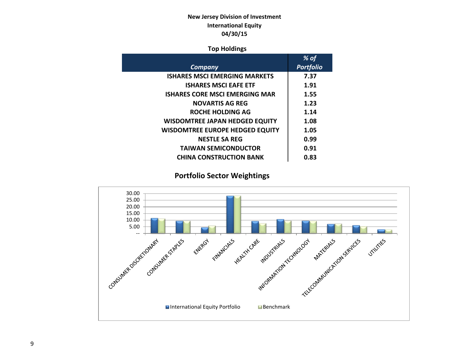# **New Jersey Division of Investment International Equity 04/30/15**

## **Top Holdings**

|                                        | % of             |
|----------------------------------------|------------------|
| Company                                | <b>Portfolio</b> |
| <b>ISHARES MSCI EMERGING MARKETS</b>   | 7.37             |
| <b>ISHARES MSCI EAFE ETF</b>           | 1.91             |
| <b>ISHARES CORE MSCI EMERGING MAR</b>  | 1.55             |
| <b>NOVARTIS AG REG</b>                 | 1.23             |
| ROCHE HOLDING AG                       | 1.14             |
| <b>WISDOMTREE JAPAN HEDGED EQUITY</b>  | 1.08             |
| <b>WISDOMTREE EUROPE HEDGED EQUITY</b> | 1.05             |
| <b>NESTLE SA REG</b>                   | 0.99             |
| <b>TAIWAN SEMICONDUCTOR</b>            | 0.91             |
| <b>CHINA CONSTRUCTION BANK</b>         | 0.83             |
|                                        |                  |

# **Portfolio Sector Weightings**

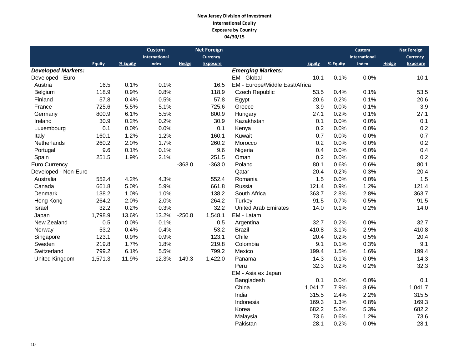## **New Jersey Division of Investment International Equity Exposure by Country 04/30/15**

|                           |         |          | <b>Custom</b> |          | <b>Net Foreign</b> |                                |               |          | <b>Custom</b>        |              | <b>Net Foreign</b> |
|---------------------------|---------|----------|---------------|----------|--------------------|--------------------------------|---------------|----------|----------------------|--------------|--------------------|
|                           |         |          | International |          | <b>Currency</b>    |                                |               |          | <b>International</b> |              | <b>Currency</b>    |
|                           | Equity  | % Equity | <b>Index</b>  | Hedge    | <b>Exposure</b>    |                                | <b>Equity</b> | % Equity | <b>Index</b>         | <b>Hedge</b> | <b>Exposure</b>    |
| <b>Developed Markets:</b> |         |          |               |          |                    | <b>Emerging Markets:</b>       |               |          |                      |              |                    |
| Developed - Euro          |         |          |               |          |                    | EM - Global                    | 10.1          | 0.1%     | 0.0%                 |              | 10.1               |
| Austria                   | 16.5    | 0.1%     | 0.1%          |          | 16.5               | EM - Europe/Middle East/Africa |               |          |                      |              |                    |
| Belgium                   | 118.9   | 0.9%     | 0.8%          |          | 118.9              | <b>Czech Republic</b>          | 53.5          | 0.4%     | 0.1%                 |              | 53.5               |
| Finland                   | 57.8    | 0.4%     | 0.5%          |          | 57.8               | Egypt                          | 20.6          | 0.2%     | 0.1%                 |              | 20.6               |
| France                    | 725.6   | 5.5%     | 5.1%          |          | 725.6              | Greece                         | 3.9           | 0.0%     | 0.1%                 |              | 3.9                |
| Germany                   | 800.9   | 6.1%     | 5.5%          |          | 800.9              | Hungary                        | 27.1          | 0.2%     | 0.1%                 |              | 27.1               |
| Ireland                   | 30.9    | 0.2%     | 0.2%          |          | 30.9               | Kazakhstan                     | 0.1           | 0.0%     | 0.0%                 |              | 0.1                |
| Luxembourg                | 0.1     | 0.0%     | 0.0%          |          | 0.1                | Kenya                          | 0.2           | 0.0%     | 0.0%                 |              | 0.2                |
| Italy                     | 160.1   | 1.2%     | 1.2%          |          | 160.1              | Kuwait                         | 0.7           | 0.0%     | 0.0%                 |              | 0.7                |
| Netherlands               | 260.2   | 2.0%     | 1.7%          |          | 260.2              | Morocco                        | 0.2           | 0.0%     | 0.0%                 |              | 0.2                |
| Portugal                  | 9.6     | 0.1%     | 0.1%          |          | 9.6                | Nigeria                        | 0.4           | 0.0%     | 0.0%                 |              | 0.4                |
| Spain                     | 251.5   | 1.9%     | 2.1%          |          | 251.5              | Oman                           | 0.2           | 0.0%     | 0.0%                 |              | 0.2                |
| Euro Currency             |         |          |               | $-363.0$ | $-363.0$           | Poland                         | 80.1          | 0.6%     | 0.6%                 |              | 80.1               |
| Developed - Non-Euro      |         |          |               |          |                    | Qatar                          | 20.4          | 0.2%     | 0.3%                 |              | 20.4               |
| Australia                 | 552.4   | 4.2%     | 4.3%          |          | 552.4              | Romania                        | 1.5           | 0.0%     | 0.0%                 |              | 1.5                |
| Canada                    | 661.8   | 5.0%     | 5.9%          |          | 661.8              | Russia                         | 121.4         | 0.9%     | 1.2%                 |              | 121.4              |
| Denmark                   | 138.2   | 1.0%     | 1.0%          |          | 138.2              | South Africa                   | 363.7         | 2.8%     | 2.8%                 |              | 363.7              |
| Hong Kong                 | 264.2   | 2.0%     | 2.0%          |          | 264.2              | Turkey                         | 91.5          | 0.7%     | 0.5%                 |              | 91.5               |
| Israel                    | 32.2    | 0.2%     | 0.3%          |          | 32.2               | <b>United Arab Emirates</b>    | 14.0          | 0.1%     | 0.2%                 |              | 14.0               |
| Japan                     | 1,798.9 | 13.6%    | 13.2%         | $-250.8$ | 1,548.1            | EM - Latam                     |               |          |                      |              |                    |
| New Zealand               | 0.5     | 0.0%     | 0.1%          |          | 0.5                | Argentina                      | 32.7          | 0.2%     | 0.0%                 |              | 32.7               |
| Norway                    | 53.2    | 0.4%     | 0.4%          |          | 53.2               | <b>Brazil</b>                  | 410.8         | 3.1%     | 2.9%                 |              | 410.8              |
| Singapore                 | 123.1   | 0.9%     | 0.9%          |          | 123.1              | Chile                          | 20.4          | 0.2%     | 0.5%                 |              | 20.4               |
| Sweden                    | 219.8   | 1.7%     | 1.8%          |          | 219.8              | Colombia                       | 9.1           | 0.1%     | 0.3%                 |              | 9.1                |
| Switzerland               | 799.2   | 6.1%     | 5.5%          |          | 799.2              | Mexico                         | 199.4         | 1.5%     | 1.6%                 |              | 199.4              |
| United Kingdom            | 1,571.3 | 11.9%    | 12.3%         | $-149.3$ | 1,422.0            | Panama                         | 14.3          | 0.1%     | 0.0%                 |              | 14.3               |
|                           |         |          |               |          |                    | Peru                           | 32.3          | 0.2%     | 0.2%                 |              | 32.3               |
|                           |         |          |               |          |                    | EM - Asia ex Japan             |               |          |                      |              |                    |
|                           |         |          |               |          |                    | Bangladesh                     | 0.1           | 0.0%     | 0.0%                 |              | 0.1                |
|                           |         |          |               |          |                    | China                          | 1,041.7       | 7.9%     | 8.6%                 |              | 1,041.7            |
|                           |         |          |               |          |                    | India                          | 315.5         | 2.4%     | 2.2%                 |              | 315.5              |
|                           |         |          |               |          |                    | Indonesia                      | 169.3         | 1.3%     | 0.8%                 |              | 169.3              |

 Korea 682.2 5.2% 5.3% 682.2 Malaysia 73.6 0.6% 1.2% 73.6

Pakistan 28.1 0.2% 0.0% 28.1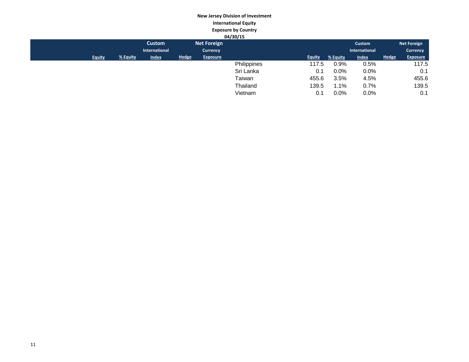#### **New Jersey Division of Investment International Equity Exposure by Country 04/30/15**

|               |          |               |              |                    | 04/30/15    |               |          |               |              |                    |
|---------------|----------|---------------|--------------|--------------------|-------------|---------------|----------|---------------|--------------|--------------------|
|               |          | <b>Custom</b> |              | <b>Net Foreign</b> |             |               |          | Custom        |              | <b>Net Foreign</b> |
|               |          | International |              | <b>Currency</b>    |             |               |          | International |              | <b>Currency</b>    |
| <b>Equity</b> | % Equity | <b>Index</b>  | <b>Hedge</b> | <b>Exposure</b>    |             | <b>Equity</b> | % Equity | <b>Index</b>  | <b>Hedge</b> | <b>Exposure</b>    |
|               |          |               |              |                    | Philippines | 117.5         | 0.9%     | 0.5%          |              | 117.5              |
|               |          |               |              |                    | Sri Lanka   | 0.1           | $0.0\%$  | $0.0\%$       |              | 0.1                |
|               |          |               |              |                    | Taiwan      | 455.6         | 3.5%     | 4.5%          |              | 455.6              |
|               |          |               |              |                    | Thailand    | 139.5         | 1.1%     | 0.7%          |              | 139.5              |
|               |          |               |              |                    | Vietnam     | 0.1           | 0.0%     | 0.0%          |              | 0.1                |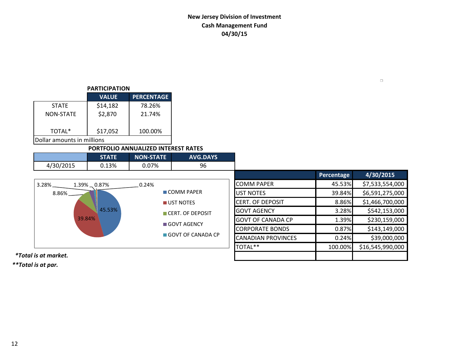# **New Jersey Division of Investment Cash Management Fund 04/30/15**

## **PARTICIPATION**

|                            | <b>VALUE</b> | <b>PERCENTAGE</b> |  |  |  |  |
|----------------------------|--------------|-------------------|--|--|--|--|
| <b>STATE</b>               | \$14,182     | 78.26%            |  |  |  |  |
| <b>NON-STATE</b>           | \$2,870      | 21.74%            |  |  |  |  |
| TOTAL*                     | \$17,052     | 100.00%           |  |  |  |  |
| Dollar amounts in millions |              |                   |  |  |  |  |

## **PORTFOLIO ANNUALIZED INTEREST RATES**

|           | STATE | <b>INON-STATE</b> | <b>AVG.DAYS</b> |
|-----------|-------|-------------------|-----------------|
| 4/30/2015 | 13%   | ን.07%             | 96              |

|                            |                           |                           | Percentage | 4/30/2015        |
|----------------------------|---------------------------|---------------------------|------------|------------------|
| 3.28%<br>$1.39\% - 0.87\%$ | 0.24%                     | <b>COMM PAPER</b>         | 45.53%     | \$7,533,554,000  |
| $8.86\%$ $-$               | $\blacksquare$ COMM PAPER | UST NOTES                 | 39.84%     | \$6,591,275,000  |
|                            | UST NOTES                 | <b>CERT. OF DEPOSIT</b>   | 8.86%      | \$1,466,700,000  |
| 45.53%                     | CERT. OF DEPOSIT          | <b>GOVT AGENCY</b>        | 3.28%      | \$542,153,000    |
| 39.84%                     | GOVT AGENCY               | <b>GOVT OF CANADA CP</b>  | 1.39%      | \$230,159,000    |
|                            |                           | <b>CORPORATE BONDS</b>    | 0.87%      | \$143,149,000    |
|                            | GOVT OF CANADA CP         | <b>CANADIAN PROVINCES</b> | 0.24%      | \$39,000,000     |
|                            |                           | TOTAL**                   | 100.00%    | \$16,545,990,000 |

 *\*Total is at market.*

*\*\*Total is at par.*

 $\Box$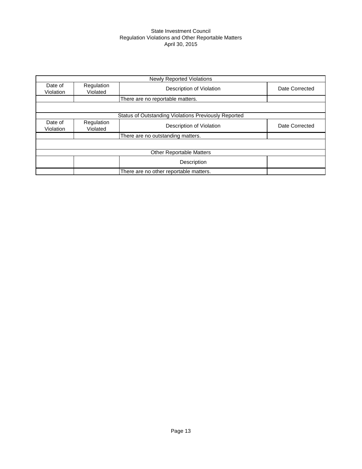## State Investment Council Regulation Violations and Other Reportable Matters April 30, 2015

|                      |                        | <b>Newly Reported Violations</b>                            |                |
|----------------------|------------------------|-------------------------------------------------------------|----------------|
| Date of<br>Violation | Regulation<br>Violated | Description of Violation                                    | Date Corrected |
|                      |                        | There are no reportable matters.                            |                |
|                      |                        |                                                             |                |
|                      |                        | <b>Status of Outstanding Violations Previously Reported</b> |                |
| Date of<br>Violation | Regulation<br>Violated | Description of Violation                                    | Date Corrected |
|                      |                        | There are no outstanding matters.                           |                |
|                      |                        |                                                             |                |
|                      |                        | <b>Other Reportable Matters</b>                             |                |
|                      |                        | Description                                                 |                |
|                      |                        | There are no other reportable matters.                      |                |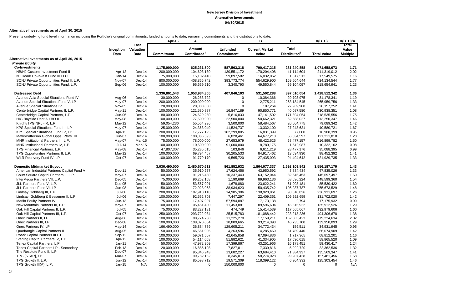#### **Alternative Investments as of April 30, 2015**

Presents underlying fund level information including the Portfolio's original commitments, funded amounts to date, remaining commitments and the distributions to date.

|                                              |                   |                           | Apr-15        | A                                         |                               | в                              | C                                        | =(B+C)             | =(B+C)/A                          |
|----------------------------------------------|-------------------|---------------------------|---------------|-------------------------------------------|-------------------------------|--------------------------------|------------------------------------------|--------------------|-----------------------------------|
|                                              | Inception<br>Date | Last<br>Valuation<br>Date | Commitment    | <b>Amount</b><br>Contributed <sup>1</sup> | <b>Unfunded</b><br>Commitment | <b>Current Market</b><br>Value | <b>Total</b><br>Distributed <sup>2</sup> | <b>Total Value</b> | Total<br>Value<br><b>Multiple</b> |
| Alternative Investments as of April 30, 2015 |                   |                           |               |                                           |                               |                                |                                          |                    |                                   |
| <b>Private Equity</b>                        |                   |                           |               |                                           |                               |                                |                                          |                    |                                   |
| <b>Co-Investments</b>                        |                   |                           | 1,175,000,000 | 625,231,500                               | 587,563,318                   | 790.417.215                    | 281,240,858                              | 1,071,658,073      | 1.71                              |
| NB/NJ Custom Investment Fund II              | Apr-12            | $Dec-14$                  | 200,000,000   | 104,603,130                               | 130,551,172                   | 170,204,408                    | 41,114,604                               | 211,319,012        | 2.02                              |
| NJ Roark Co-Invest Fund III LLC              | Jan-14            | Dec-14                    | 75,000,000    | 15,102,418                                | 59,897,582                    | 16,032,062                     | 1,517,513                                | 17,549,575         | 1.16                              |
| SONJ Private Opportunities Fund II, L.P.     | Nov-07            | Dec-14                    | 800,000,000   | 408,866,742                               | 393,773,774                   | 554,629,900                    | 169,504,644                              | 724,134,544        | 1.77                              |
| SONJ Private Opportunities Fund, L.P.        | Sep-06            | $Dec-14$                  | 100,000,000   | 96,659,210                                | 3,340,790                     | 49,550,844                     | 69,104,097                               | 118,654,941        | 1.23                              |
| <b>Distressed Debt</b>                       |                   |                           | 1,336,861,543 | 1,053,934,305                             | 407,846,103                   | 531,502,288                    | 897,010,054                              | 1,428,512,342      | 1.36                              |
| Avenue Asia Special Situations Fund IV       | Aug-06            | Dec-14                    | 30,000,000    | 26,283,722                                | $\mathbf 0$                   | 10,384,366                     | 20,793,975                               | 31,178,341         | 1.19                              |
| Avenue Special Situations Fund V, LP         | May-07            | Dec-14                    | 200,000,000   | 200,000,000                               | $\Omega$                      | 2,775,211                      | 263,184,545                              | 265,959,756        | 1.33                              |
| Avenue Special Situations IV                 | <b>Nov-05</b>     | Dec-14                    | 20,000,000    | 20,000,000                                | $\Omega$                      | 187,264                        | 27,969,988                               | 28, 157, 252       | 1.41                              |
| Centerbridge Capital Partners II, L.P.       | $May-11$          | Dec-14                    | 100,000,000   | 121,580,887                               | 16,847,189                    | 90,850,771                     | 40,087,580                               | 130,938,351        | 1.08                              |
| Centerbridge Capital Partners, L.P.          | Jun-06            | Dec-14                    | 80,000,000    | 124,629,280                               | 5,816,833                     | 47,141,502                     | 171,394,054                              | 218,535,556        | 1.75                              |
| HIG Bayside Debt & LBO II                    | May-08            | Dec-14                    | 100,000,000   | 77,500,000                                | 22,500,000                    | 50,662,321                     | 62,588,027                               | 113,250,347        | 1.46                              |
| Knight/TPG NPL - R, L.P.                     | Mar-12            | $Dec-14$                  | 59,054,236    | 55,554,236                                | 3,500,000                     | 58,484,567                     | 20,604,775                               | 79,089,342         | 1.42                              |
| KPS Special Situations Fund III, LP          | May-07            | Dec-14                    | 25,000,000    | 24,363,040                                | 11,524,737                    | 13,332,100                     | 27,248,621                               | 40,580,721         | 1.67                              |
| KPS Special Situations Fund IV, LP           | Apr-13            | $Dec-14$                  | 200,000,000   | 17,777,195                                | 182,299,805                   | 16,831,399                     | 77,000                                   | 16,908,399         | 0.95                              |
| MatlinPatterson Global Opps. Ptnrs. III      | Jun-07            | Dec-14                    | 100,000,000   | 100,886,693                               | 6,828,461                     | 64,677,213                     | 56,534,597                               | 121,211,810        | 1.20                              |
| MHR Institutional Partners III, L.P.         | May-07            | Mar-15                    | 75,000,000    | 78,000,000                                | 27,653,979                    | 48,422,625                     | 68,477,157                               | 116,899,782        | 1.50                              |
| MHR Institutional Partners IV, L.P.          | <b>Jul-14</b>     | Mar-15                    | 100,000,000   | 10,500,000                                | 91,000,000                    | 8,789,175                      | 1,542,987                                | 10,332,162         | 0.98                              |
| TPG Financial Partners, L.P.                 | May-08            | Dec-14                    | 47,807,307    | 35,285,615                                | 103,846                       | 6,611,219                      | 28,477,176                               | 35,088,395         | 0.99                              |
| TPG Opportunities Partners II, L.P.          | Mar-12            | Dec-14                    | 100,000,000   | 69,794,467                                | 30,205,533                    | 84,917,462                     | 13,534,930                               | 98,452,392         | 1.41                              |
| WLR Recovery Fund IV, LP                     | Oct-07            | Dec-14                    | 100,000,000   | 91,779,170                                | 9,565,720                     | 27,435,093                     | 94,494,642                               | 121,929,735        | 1.33                              |
| <b>Domestic Midmarket Buyout</b>             |                   |                           | 3,036,490,000 | 2,480,670,613                             | 861,852,932                   | 1,864,077,337                  | 1,692,109,842                            | 3,556,187,179      | 1.43                              |
| American Industrial Partners Capital Fund V  | Dec-11            | $Dec-14$                  | 50,000,000    | 35,910,257                                | 17,624,456                    | 43,950,592                     | 3,884,434                                | 47,835,026         | 1.33                              |
| Court Square Capital Partners II, L.P.       | May-07            | Dec-14                    | 100,000,000   | 91,216,430                                | 10,337,443                    | 63,152,044                     | 82,545,453                               | 145,697,497        | 1.60                              |
| InterMedia Partners VII, L.P.                | Dec-05            | Dec-14                    | 75,000,000    | 96,252,158                                | 1,190,669                     | 89,963,136                     | 58,636,224                               | 148,599,360        | 1.54                              |
| JLL Partners Fund V, L.P.                    | Dec-05            | Dec-14                    | 50,000,000    | 53,567,001                                | 1,678,880                     | 23,622,241                     | 61,908,181                               | 85,530,422         | 1.60                              |
| JLL Partners Fund VI, LP                     | <b>Jun-08</b>     | Dec-14                    | 150,000,000   | 172,923,058                               | 38,934,623                    | 150,435,742                    | 105,237,787                              | 255,673,529        | 1.48                              |
| Lindsay Goldberg III, L.P.                   | <b>Jul-08</b>     | Dec-14                    | 200,000,000   | 187,910,118                               | 14,985,306                    | 138,920,861                    | 98,010,836                               | 236,931,697        | 1.26                              |
| Lindsay, Goldberg & Bessemer II, L.P.        | <b>Jul-06</b>     | Dec-14                    | 100,000,000   | 92,552,703                                | 7,447,297                     | 22,409,361                     | 109,292,659                              | 131,702,020        | 1.42                              |
| <b>Marlin Equity Partners IV</b>             | Jun-13            | Dec-14                    | 75,000,000    | 17,407,907                                | 57,594,887                    | 17, 173, 138                   | 2,794                                    | 17,175,932         | 0.99                              |
| New Mountain Partners III, L.P.              | May-07            | $Dec-14$                  | 100,000,000   | 105,451,400                               | 11,453,881                    | 89,596,604                     | 46,315,922                               | 135,912,526        | 1.29                              |
| Oak Hill Capital Partners II, L.P.           | <b>Jul-05</b>     | Dec-14                    | 75,000,000    | 83,227,181                                | 474,749                       | 15,414,539                     | 117,565,067                              | 132,979,606        | 1.60                              |
| Oak Hill Capital Partners III, L.P.          | Oct-07            | Dec-14                    | 250,000,000   | 293,722,034                               | 25,515,783                    | 181,088,442                    | 223,218,236                              | 404,306,678        | 1.38                              |
| Onex Partners II, LP                         | Aug-06            | Dec-14                    | 100,000,000   | 88,774,730                                | 11,225,270                    | 17,159,211                     | 162,065,423                              | 179,224,634        | 2.02                              |
| Onex Partners III, LP                        | Dec-08            | Dec-14                    | 100,000,000   | 108,070,054                               | 10,809,665                    | 93,214,393                     | 46,735,700                               | 139,950,093        | 1.29                              |
| Onex Partners IV, LP                         | May-14            | Dec-14                    | 166,490,000   | 36,884,789                                | 129,605,211                   | 34,772,434                     | 159,511                                  | 34,931,945         | 0.95                              |
| Quadrangle Capital Partners II               | Aug-05            | Dec-14                    | 50,000,000    | 46,661,006                                | 4,263,596                     | 14,285,469                     | 51,789,440                               | 66,074,909         | 1.42                              |
| Roark Capital Partners III L.P.              | Sep-12            | $Dec-14$                  | 100,000,000   | 59,071,507                                | 42,645,858                    | 67,094,836                     | 1,717,365                                | 68,812,201         | 1.16                              |
| Sterling Capital Partners IV, L.P.           | Apr-12            | Dec-14                    | 100,000,000   | 54,114,068                                | 51,882,621                    | 41,334,905                     | 17,530,615                               | 58,865,520         | 1.09                              |
| Tenex Capital Partners, L.P.                 | Jan-11            | $Dec-14$                  | 50,000,000    | 47,972,909                                | 17,399,867                    | 43,251,966                     | 16,178,451                               | 59,430,417         | 1.24                              |
| Tenex Capital Partners LP - Secondary        | Feb-13            | $Dec-14$                  | 20,000,000    | 16,885,108                                | 7,827,811                     | 17,339,816                     | 5,022,720                                | 22,362,536         | 1.32                              |
| The Resolute Fund II, L.P.                   | Dec-07            | Dec-14                    | 100,000,000   | 95,846,943                                | 13,682,227                    | 63,684,410                     | 71,884,937                               | 135,569,347        | 1.41                              |
| TPG [STAR], LP                               | Mar-07            | Dec-14                    | 100,000,000   | 99,782,132                                | 8,345,013                     | 58,274,028                     | 99,207,428                               | 157,481,456        | 1.58                              |
| TPG Growth II, L.P.                          | Jun-12            | Dec-14                    | 100,000,000   | 85,598,712                                | 19,571,309                    | 118,399,122                    | 6,904,332                                | 125,303,454        | 1.46                              |
| TPG Growth III(A), L.P.                      | Jan-15            | N/A                       | 150,000,000   | $\Omega$                                  | 150,000,000                   | $\Omega$                       | $\Omega$                                 | $\Omega$           | N/A                               |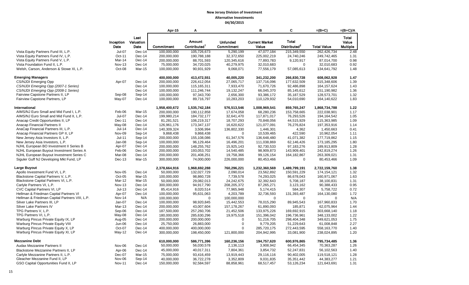|                                                |               |               | Apr-15        | Α                          |                          | в                         | C                        | $=(B+C)$                   | $=(B+C)/A$   |
|------------------------------------------------|---------------|---------------|---------------|----------------------------|--------------------------|---------------------------|--------------------------|----------------------------|--------------|
|                                                |               |               |               |                            |                          |                           |                          |                            |              |
|                                                |               | Last          |               | Amount                     |                          |                           | <b>Total</b>             |                            | <b>Total</b> |
|                                                | Inception     | Valuation     |               |                            | <b>Unfunded</b>          | <b>Current Market</b>     |                          |                            | Value        |
|                                                | Date          | Date          | Commitment    | Contributed <sup>1</sup>   | Commitment               | Value                     | Distributed <sup>2</sup> | <b>Total Value</b>         | Multiple     |
| Vista Equity Partners Fund III, L.P.           | <b>Jul-07</b> | $Dec-14$      | 100,000,000   | 105,726,673                | 5,290,199                | 47,077,184                | 215,349,550              | 262,426,734                | 2.48         |
| Vista Equity Partners Fund IV, L.P.            | Oct-11        | Dec-14        | 200,000,000   | 190,788,188                | 32,372,650               | 225,002,219               | 24,740,246               | 249,742,465                | 1.31         |
| Vista Equity Partners Fund V, L.P.             | Mar-14        | Dec-14        | 200,000,000   | 88,701,593                 | 120,345,616              | 77,893,783                | 9,120,917                | 87,014,700                 | 0.98         |
| Vista Foundation Fund II, L.P.                 | <b>Nov-13</b> | $Dec-14$      | 75,000,000    | 34,720,025                 | 40,279,975               | 32,010,683                | $\mathbf 0$              | 32,010,683                 | 0.92         |
| Welsh, Carson, Anderson & Stowe XI, L.P.       | Oct-08        | Mar-15        | 100,000,000   | 90,931,929                 | 9,068,071                | 77,556,179                | 57,085,613               | 134,641,792                | 1.48         |
|                                                |               |               |               |                            |                          |                           |                          |                            |              |
| <b>Emerging Managers</b>                       |               |               | 400,000,000   | 413,472,551                | 40,005,220               | 341,232,200               | 266,830,728              | 608,062,928                | 1.47         |
| <b>CS/NJDI Emerging Opp</b>                    | Apr-07        | $Dec-14$      | 200,000,000   | 226,412,054                | 27,065,717               | 137,716,096               | 177,632,509              | 315,348,606                | 1.39         |
| CS/NJDI Emerging Opp (2007-1 Series)           |               | Dec-14        | 100,000,000   | 115, 165, 311              | 7,933,470                | 71,670,726                | 92,486,898               | 164, 157, 624              | 1.43         |
| CS/NJDI Emerging Opp (2008-1 Series)           |               | Dec-14        | 100,000,000   | 111,246,744                | 19,132,247               | 66,045,370                | 85,145,612               | 151,190,982                | 1.36         |
| Fairview Capstone Partners II, LP              | Sep-08        | Sep-14        | 100,000,000   | 97,343,700                 | 2,656,300                | 93,386,172                | 35,187,529               | 128,573,701                | 1.32         |
| Fairview Capstone Partners, LP                 | May-07        | $Dec-14$      | 100,000,000   | 89,716,797                 | 10,283,203               | 110,129,932               | 54,010,690               | 164,140,622                | 1.83         |
| International                                  |               |               | 1,958,400,672 | 1,535,742,184              | 576,513,546              | 1,008,969,541             | 859,765,247              | 1,868,734,788              | 1.22         |
| AIMS/NJ Euro Small and Mid Fund I, L.P.        | Feb-06        | Mar-15        | 200,000,000   |                            |                          |                           | 153,758,665              |                            | 1.17         |
| AIMS/NJ Euro Small and Mid Fund II, L.P.       | Jul-07        | $Dec-14$      | 199,980,214   | 190,112,858<br>184,732,177 | 17,674,058<br>32,641,470 | 68,280,236<br>117,871,017 | 76,293,526               | 222,038,901<br>194,164,542 | 1.05         |
| Anacap Credit Opportunities II, LP             | Dec-11        | $Dec-14$      | 81,281,521    |                            | 18,707,293               |                           |                          | 115,363,985                | 1.09         |
|                                                | May-08        | Dec-14        |               | 106,219,317                |                          | 70,848,056                | 44,515,929               |                            |              |
| Anacap Financial Partners II                   | $Jul-14$      |               | 126,961,176   | 173,347,137                | 16,620,622               | 121,077,091               | 76,276,824               | 197,353,916                | 1.14         |
| AnaCap Financial Partners III, L.P.            |               | Dec-14        | 140,309,324   | 3,506,994                  | 136,802,330              | 1,446,301                 | 4,362                    | 1,450,663                  | 0.41         |
| Anacap Financial Partners GP II, LP            | Nov-09        | Sep-14        | 9,868,438     | 9,868,438                  | $\Omega$                 | 10,539,465                | 422,590                  | 10,962,054                 | 1.11         |
| New Jersey Asia Investors II, L.P.             | $Jul-11$      | Sep-14        | 200,000,000   | 155,108,086                | 61,347,576               | 136,648,480               | 41,071,382               | 177,719,862                | 1.15         |
| New Jersey Asia Investors, L.P.                | Jan-08        | Sep-14        | 100,000,000   | 96,129,464                 | 16,496,201               | 111,038,869               | 62,146,426               | 173,185,295                | 1.80         |
| NJHL European BO Investment II Series B        | Apr-07        | Dec-14        | 200,000,000   | 148,255,762                | 15,925,143               | 92,730,533                | 97,183,276               | 189,913,809                | 1.28         |
| NJHL European Buyout Investment Series A       | Feb-06        | Dec-14        | 200,000,000   | 193,053,702                | 14,540,485               | 98,909,873                | 143,909,401              | 242,819,274                | 1.26         |
| NJHL European Buyout Investment Series C       | Mar-08        | $Dec-14$      | 200,000,000   | 201,408,251                | 19,758,366               | 99,126,154                | 164, 182, 867            | 263,309,021                | 1.31         |
| Siguler Guff NJ Developing Mkt Fund, LP        | Dec-13        | Mar-15        | 300,000,000   | 74,000,000                 | 226,000,000              | 80,453,466                | $\mathbf 0$              | 80,453,466                 | 1.09         |
| Large Buyout                                   |               |               | 2,378,664,916 | 1,968,692,288              | 760,296,221              | 1,232,360,569             | 1,489,799,191            | 2,722,159,760              | 1.38         |
| Apollo Investment Fund VI, L.P.                | Nov-05        | $Dec-14$      | 50,000,000    | 132,027,729                | 2,090,014                | 23,562,892                | 150,591,229              | 174,154,121                | 1.32         |
| Blackstone Capital Partners V, L.P.            | Oct-05        | <b>Mar-15</b> | 100,000,000   | 98,860,728                 | 7,739,578                | 74,293,025                | 86,678,043               | 160,971,067                | 1.63         |
| Blackstone Capital Partners VI, L.P.           | Mar-12        | Mar-15        | 50,000,000    | 29,082,013                 | 24,242,675               | 32,392,643                | 5,708,187                | 38,100,831                 | 1.31         |
| Carlyle Partners VI, L.P.                      | Nov-13        | Dec-14        |               |                            |                          |                           |                          |                            | 0.95         |
| CVC Capital Partners VI, LP                    | $Jul-13$      |               | 300,000,000   | 94,917,790                 | 208,205,372              | 87,265,271                | 3,123,162                | 90,388,433                 |              |
|                                                |               | $Dec-14$      | 85,414,916    | 8,020,514                  | 77,965,948               | 5,174,415                 | 584,307                  | 5,758,722                  | 0.72<br>1.72 |
| Hellman & Friedman Capital Partners VI         | Apr-07        | Dec-14        | 100,000,000   | 95,631,063                 | 4,203,789                | 32,736,593                | 131,393,487              | 164,130,080                |              |
| Hellman & Friedman Capital Partners VIII, L.P. | Nov-14        | N/A           | 100,000,000   | $\Omega$                   | 100,000,000              | $\Omega$                  | $\Omega$                 | $\Omega$                   | N/A          |
| Silver Lake Partners III. LP                   | Jan-07        | $Dec-14$      | 100,000,000   | 98,920,845                 | 15,442,553               | 78,015,290                | 89,945,543               | 167,960,833                | 1.70         |
| Silver Lake Partners IV                        | Mar-13        | $Dec-14$      | 200,000,000   | 43,007,604                 | 157, 178, 267            | 61,890,093                | 185,871                  | 62,075,964                 | 1.44         |
| TPG Partners V, L.P.                           | Sep-06        | Dec-14        | 187,500,000   | 257,260,706                | 21,452,506               | 133,975,226               | 169,692,915              | 303,668,140                | 1.18         |
| TPG Partners VI, L.P.                          | May-08        | Dec-14        | 180,000,000   | 285,630,296                | 19,975,518               | 151,396,042               | 196,736,961              | 348,133,002                | 1.22         |
| Warburg Pincus Private Equity IX, LP           | Aug-05        | Dec-14        | 200,000,000   | 200,000,000                | $\mathbf 0$              | 51,216,705                | 298,404,348              | 349,621,053                | 1.75         |
| Warburg Pincus Private Equity VIII             | Jun-06        | Dec-14        | 25,750,000    | 26,883,000                 | $\mathbf 0$              | 9,779,205                 | 51,229,643               | 61,008,848                 | 2.27         |
| Warburg Pincus Private Equity X, LP            | Oct-07        | $Dec-14$      | 400,000,000   | 400,000,000                | $\mathbf 0$              | 285,720,175               | 272,443,595              | 558,163,770                | 1.40         |
| Warburg Pincus Private Equity XI, LP           | May-12        | Dec-14        | 300,000,000   | 198,450,000                | 121,800,000              | 204,942,995               | 33,081,900               | 238,024,895                | 1.20         |
| <b>Mezzanine Debt</b>                          |               |               | 610,000,000   | 586,771,396                | 160,236,156              | 194,757,620               | 600,976,865              | 795,734,485                | 1.36         |
| Audax Mezzanine Partners II                    | Nov-06        | Dec-14        | 50,000,000    | 56,030,578                 | 2,136,113                | 3,908,942                 | 66,454,345               | 70,363,287                 | 1.26         |
| Blackstone Mezzanine Partners II, LP           | Apr-06        | Dec-14        | 45,000,000    | 40,017,311                 | 7,804,361                | 3,854,732                 | 52,247,831               | 56,102,563                 | 1.40         |
| Carlyle Mezzanine Partners II, L.P.            | Dec-07        | Mar-15        | 75,000,000    |                            |                          | 29,116,116                | 90,402,005               | 119,518,121                |              |
|                                                |               |               |               | 93,416,459                 | 13,919,443               |                           |                          |                            | 1.28         |
| Gleacher Mezzanine Fund II, LP                 | Nov-06        | Sep-14        | 40,000,000    | 36,722,278                 | 3,352,809                | 9,031,835                 | 35,351,442               | 44,383,277                 | 1.21         |
| GSO Capital Opportunities Fund II, LP          | <b>Nov-11</b> | $Dec-14$      | 150,000,000   | 92,584,597                 | 88,858,961               | 68,517,457                | 53,126,234               | 121,643,691                | 1.31         |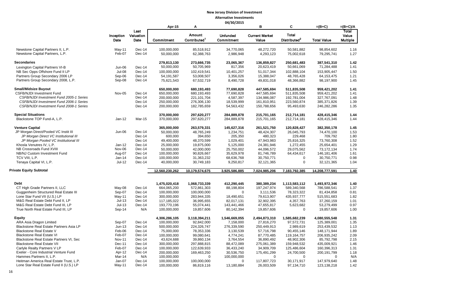|                                         |                   |                           | Apr-15         | А                                  | 04/30/2013                    | в                              | С                                        | $=(B+C)$           | $=(B+C)/A$                        |
|-----------------------------------------|-------------------|---------------------------|----------------|------------------------------------|-------------------------------|--------------------------------|------------------------------------------|--------------------|-----------------------------------|
|                                         | Inception<br>Date | Last<br>Valuation<br>Date | Commitment     | Amount<br>Contributed <sup>1</sup> | <b>Unfunded</b><br>Commitment | <b>Current Market</b><br>Value | <b>Total</b><br>Distributed <sup>2</sup> | <b>Total Value</b> | Total<br>Value<br><b>Multiple</b> |
| Newstone Capital Partners II, L.P.      | May-11            | Dec-14                    | 100,000,000    | 85,518,912                         | 34,770,065                    | 48,272,720                     | 50,581,882                               | 98,854,602         | 1.16                              |
| Newstone Capital Partners, L.P.         | Feb-07            | Dec-14                    | 50,000,000     | 62,388,763                         | 2,986,948                     | 4,293,123                      | 75,002,618                               | 79,295,741         | 1.27                              |
| <b>Secondaries</b>                      |                   |                           | 279,813,130    | 273,666,735                        | 23,065,367                    | 136,859,827                    | 250,681,483                              | 387,541,310        | 1.42                              |
| Lexington Capital Partners VI-B         | Jun-06            | Dec-14                    | 50,000,000     | 50,705,969                         | 817,356                       | 20,623,419                     | 50,661,069                               | 71,284,488         | 1.41                              |
| NB Sec Opps Offshore Fund II LP         | <b>Jul-08</b>     | $Dec-14$                  | 100,000,000    | 102,419,541                        | 10,401,257                    | 51,017,344                     | 102,888,104                              | 153,905,447        | 1.50                              |
| Partners Group Secondary 2006 LP        | Sep-06            | Dec-14                    | 54, 191, 587   | 53,008,507                         | 3,356,026                     | 15,388,047                     | 48,765,428                               | 64, 153, 475       | 1.21                              |
| Partners Group Secondary 2008, L.P.     | Sep-08            | Dec-14                    | 75,621,543     | 67,532,719                         | 8,490,728                     | 49,831,018                     | 48,366,882                               | 98,197,900         | 1.45                              |
| <b>Small/Midsize Buyout</b>             |                   |                           | 650,000,000    | 680,193,493                        | 77,690,828                    | 447,585,694                    | 511,835,508                              | 959,421,202        | 1.41                              |
| <b>CSFB/NJDI Investment Fund</b>        | Nov-05            | $Dec-14$                  | 650,000,000    | 680, 193, 493                      | 77,690,828                    | 447,585,694                    | 511,835,508                              | 959,421,202        | 1.41                              |
| CSFB/NJDI Investment Fund 2005-1 Series |                   | Dec-14                    | 200,000,000    | 221, 101, 704                      | 4,587,397                     | 134,986,087                    | 192,781,004                              | 327,767,091        | 1.48                              |
| CSFB/NJDI Investment Fund 2006-1 Series |                   | Dec-14                    | 250,000,000    | 276,306,130                        | 18,539,999                    | 161,810,951                    | 223,560,874                              | 385,371,826        | 1.39                              |
| CSFB/NJDI Investment Fund 2008-1 Series |                   | Dec-14                    | 200,000,000    | 182,785,659                        | 54,563,432                    | 150,788,656                    | 95,493,630                               | 246,282,286        | 1.35                              |
| <b>Special Situations</b>               |                   |                           | 370,000,000    | 297,620,277                        | 284,889,878                   | 215,701,165                    | 212,714,181                              | 428,415,346        | 1.44                              |
| Blackstone TOP Fund-A, L.P.             | $Jan-12$          | Mar-15                    | 370,000,000    | 297,620,277                        | 284,889,878                   | 215,701,165                    | 212,714,181                              | 428,415,346        | 1.44                              |
| <b>Venture Capital</b>                  |                   |                           | 365,000,000    | 263,579,331                        | 145,627,316                   | 261,521,750                    | 120,828,427                              | 382,350,178        | 1.45                              |
| JP Morgan Direct/Pooled VC Instit III   | Jun-06            | $Dec-14$                  | 50,000,000     | 48,765,249                         | 1,234,751                     | 48,424,307                     | 26,045,793                               | 74,470,100         | 1.53                              |
| JP Morgan Direct VC Institutional III   |                   | Dec-14                    | 600,000        | 394,650                            | 205,350                       | 480,323                        | 229,468                                  | 709,792            | 1.80                              |
| JP Morgan Pooled VC Institutional III   |                   | Dec-14                    | 49,400,000     | 48,370,599                         | 1,029,401                     | 47,943,983                     | 25,816,325                               | 73,760,308         | 1.52                              |
| Khosla Venutres IV, L.P.                | $Jan-12$          | Dec-14                    | 25,000,000     | 19,875,000                         | 5,125,000                     | 24,381,946                     | 1,272,455                                | 25,654,401         | 1.29                              |
| NB Crossroads Fund XVIII                | Nov-06            | Dec-14                    | 50,000,000     | 42,000,000                         | 25,750,002                    | 44,096,572                     | 29,075,562                               | 73,172,134         | 1.74                              |
| NB/NJ Custom Investment Fund            | Aug-07            | Dec-14                    | 100,000,000    | 90,826,667                         | 35,629,978                    | 81,746,789                     | 64,434,617                               | 146,181,406        | 1.61                              |
| TCV VIII, L.P.                          | Jan-14            | Dec-14                    | 100,000,000    | 31,363,232                         | 68,636,768                    | 30,750,771                     | $\Omega$                                 | 30,750,771         | 0.98                              |
| Tenaya Capital VI, L.P.                 | $Jul-12$          | Dec-14                    | 40,000,000     | 30,749,183                         | 9,250,817                     | 32,121,365                     | 0                                        | 32,121,365         | 1.04                              |
| Private Equity Subtotal                 |                   |                           | 12,560,230,262 | 10,179,574,675                     | 3,925,586,885                 | 7,024,985,206                  | 7,183,792,385                            | 14,208,777,591     | 1.40                              |
|                                         |                   |                           |                |                                    |                               |                                |                                          |                    |                                   |
| <b>Debt</b>                             |                   |                           | 1,475,020,418  | 1,068,733,339                      | 412,290,445                   | 380,389,234                    | 1,113,583,112                            | 1,493,972,346      | 1.40                              |
| CT High Grade Partners II, LLC          | May-08            | Dec-14                    | 664,065,200    | 572,861,303                        | 88,198,804                    | 197,247,974                    | 589,340,568                              | 786,588,541        | 1.37                              |
| Guggenheim Structured Real Estate III   | Sep-07            | Dec-14                    | 100,000,000    | 100,000,000                        | 0                             | 3,111,536                      | 78,323,322                               | 81,434,858         | 0.81                              |
| Lone Star Fund VII (U.S.) LP            | May-11            | Dec-14                    | 300,000,000    | 283,944,335                        | 18,490,651                    | 79,613,907                     | 435,937,777                              | 515,551,683        | 1.82                              |
| M&G Real Estate Debt Fund II, LP        | $Jul-13$          | Dec-14                    | 117,185,022    | 36,995,655                         | 82,017,131                    | 32,902,395                     | 4,357,763                                | 37,260,159         | 1.01                              |
| M&G Real Estate Debt Fund III, LP       | $Jul-13$          | Dec-14                    | 193,770,196    | 55,074,441                         | 143,441,466                   | 47,655,817                     | 5,623,682                                | 53,279,499         | 0.97                              |
| True North Real Estate Fund III, LP     | Sep-14            | N/A                       | 100,000,000    | 19,857,606                         | 80,142,394                    | 19,857,606                     | 0                                        | 19,857,606         | 1.00                              |
| <b>Equity</b>                           |                   |                           | 4,306,286,105  | 3,118,394,211                      | 1,546,669,055                 | 2,494,873,310                  | 1,585,682,239                            | 4,080,555,548      | 1.31                              |
| ARA Asia Dragon Limited                 | Sep-07            | Dec-14                    | 100,000,000    | 92,842,000                         | 7,158,000                     | 27,816,270                     | 97,572,731                               | 125,389,001        | 1.35                              |
| Blackstone Real Estate Partners Asia LP | $Jun-13$          | Dec-14                    | 500,000,000    | 224,326,747                        | 276,339,590                   | 250,449,913                    | 2,989,619                                | 253,439,532        | 1.13                              |
| <b>Blackstone Real Estate V</b>         | Feb-06            | Dec-14                    | 75.000.000     | 78,353,336                         | 3,130,539                     | 57,716,798                     | 90.455.146                               | 148,171,944        | 1.89                              |
| <b>Blackstone Real Estate VI</b>        | Feb-07            | Dec-14                    | 100,000,000    | 99,080,641                         | 4,774,241                     | 87,770,485                     | 119,164,757                              | 206,935,242        | 2.09                              |
| Blackstone Real Estate Partners VI, Sec | <b>Nov-11</b>     | Dec-14                    | 43,624,688     | 39,860,134                         | 3,764,554                     | 36,890,492                     | 48,902,306                               | 85,792,798         | 2.15                              |
| <b>Blackstone Real Estate VII</b>       | Dec-11            | Dec-14                    | 300,000,000    | 297,888,815                        | 88,472,089                    | 275,061,389                    | 159,948,532                              | 435,009,921        | 1.46                              |
| Carlyle Realty Partners V LP            | Feb-07            | Dec-14                    | 100,000,000    | 122,639,933                        | 36,433,240                    | 34,909,709                     | 125,486,604                              | 160,396,313        | 1.31                              |
| Exeter - Core Industrial Venture Fund   | Apr-12            | Dec-14                    | 200,000,000    | 169,463,250                        | 30,536,750                    | 175,491,299                    | 24,700,500                               | 200,191,799        | 1.18                              |
| Hammes Partners II, L.P.                | Mar-14            | N/A                       | 100,000,000    | 0                                  | 100,000,000                   | 0                              | 0                                        | 0                  | N/A                               |
| Heitman America Real Estate Trust, L.P. | Jan-07            | Dec-14                    | 100,000,000    | 100,000,000                        | 0                             | 117,807,723                    | 30,171,917                               | 147,979,640        | 1.48                              |
| Lone Star Real Estate Fund II (U.S.) LP | May-11            | Dec-14                    | 100,000,000    | 86,819,116                         | 13,180,884                    | 26,003,509                     | 97,134,710                               | 123,138,218        | 1.42                              |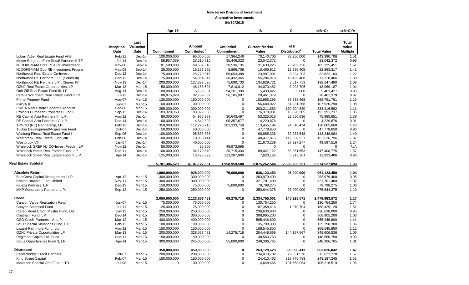|                                                                            |                         |                         | Apr-15                     | A                          |                            | в                          | C                         | $=(B+C)$                   | $=(B+C)/A$      |
|----------------------------------------------------------------------------|-------------------------|-------------------------|----------------------------|----------------------------|----------------------------|----------------------------|---------------------------|----------------------------|-----------------|
|                                                                            |                         |                         |                            |                            |                            |                            |                           |                            |                 |
|                                                                            |                         | Last                    |                            |                            |                            |                            |                           |                            | Total           |
|                                                                            | Inception               | Valuation               |                            | <b>Amount</b>              | <b>Unfunded</b>            | <b>Current Market</b>      | <b>Total</b>              |                            | Value           |
|                                                                            | Date                    | Date                    | <b>Commitment</b>          | Contributed <sup>1</sup>   | Commitment                 | Value                      | Distributed <sup>2</sup>  | <b>Total Value</b>         | <b>Multiple</b> |
| Lubert Adler Real Estate Fund VI-B                                         | Feb-11                  | Dec-14                  | 100,000,000                | 95,000,000                 | 17,364,246                 | 70,140,706                 | 73,250,000                | 143,390,706                | 1.51            |
|                                                                            | $Jul-14$                | Dec-14                  | 58,957,039                 | 23,510,715                 | 35,446,323                 | 23,042,372                 | $\mathbf 0$               | 23,042,372                 | 0.98            |
| Meyer Bergman Euro Retail Partners II-TE                                   |                         |                         |                            |                            |                            |                            |                           |                            |                 |
| NJDOI/GMAM Core Plus RE Investment<br>NJDOI/GMAM Opp RE Investment Program | May-08                  | Sep-14                  | 81,500,000                 | 69,537,518                 | 20,536,135                 | 31,633,225                 | 73,702,226                | 105,335,451                | 1.51            |
|                                                                            | May-08                  | Sep-14                  | 25.000.000                 | 16,133,292                 | 8.866.708                  | 10.466.912                 | 12,396,405                | 22.863.317                 | 1.42            |
| Northwood Real Estate Co-Invest                                            | Dec-12                  | Dec-14                  | 75,000,000                 | 25,770,815                 | 58,053,388                 | 23,997,901                 | 8,824,203                 | 32,822,104                 | 1.27            |
| Northwood RE Partners L.P., (Series III)                                   | Dec-12                  | Dec-14<br>Dec-14        | 75,000,000                 | 54,984,847                 | 36,432,365                 | 55,284,978                 | 16,425,488                | 71,710,466                 | 1.30            |
| Northwood RE Partners L.P., (Series IV)                                    | <b>Nov-13</b><br>Mar-13 | Mar-15                  | 200,000,000                | 127,827,026                | 75,690,733                 | 134,629,721                | 3,517,759                 | 138,147,480<br>48.069.187  | 1.08<br>1.04    |
| OZNJ Real Estate Opportunities, LP                                         |                         |                         | 50,000,000                 | 46,188,693                 | 7,810,012                  | 44,070,482                 | 3,998,705                 |                            | 0.95            |
| Och-Ziff Real Estate Fund III, LP                                          | Aug-14<br>$Jul-13$      | Dec-14                  | 100,000,000<br>88,875,029  | 5,738,601<br>32,769,032    | 94,261,399                 | 5,430,427                  | 33,000<br>$\mathbf 0$     | 5,463,427                  | 0.87            |
| Perella Weinberg Real Estate Fund II LP                                    |                         | Dec-14                  |                            |                            | 56,105,997<br>$\mathbf 0$  | 28,461,379                 |                           | 28,461,379                 |                 |
| <b>Prime Property Fund</b>                                                 | Aug-07                  | <b>Mar-15</b>           | 130,000,000                | 150,000,000                |                            | 102,956,293                | 65,835,468                | 168,791,761                | 1.13            |
| PRISA II<br>PRISA Real Estate Separate Account                             | <b>Jun-07</b><br>Dec-06 | Mar-15<br><b>Mar-15</b> | 60,000,000                 | 100,000,000                | $\mathbf 0$                | 56,689,022                 | 51,231,268                | 107,920,290                | 1.08            |
| Prologis European Properties Fund II                                       | Sep-13                  | Dec-14                  | 265.000.000<br>183,329,350 | 300.000.000<br>183,329,350 | $\mathbf 0$<br>$\mathbf 0$ | 203.211.883<br>176,370,931 | 130.204.680<br>16,620,305 | 333.416.562<br>192,991,237 | 1.11<br>1.05    |
| RE Capital Asia Partners III, L.P.                                         | Aug-12                  | Dec-14                  | 80,000,000                 | 54,966,389                 | 30,643,497                 | 53,325,016                 | 22,660,636                | 75,985,651                 | 1.38            |
| RE Capital Asia Partners IV, L.P.                                          | Dec-14                  | Dec-14                  | 100,000,000                | 4,642,323                  | 95,357,677                 | 4,229,876                  | $\mathbf 0$               | 4,229,876                  | 0.91            |
| TPG/NJ (RE) Partnership, LP                                                | Feb-13                  | Dec-14                  | 350,000,000                | 112,276,715                | 262,333,759                | 113,455,194                | 24,610,474                | 138,065,668                | 1.23            |
| Tucker Development/Acquisition Fund                                        | Oct-07                  | Dec-14                  | 50,000,000                 | 50,000,000                 | $\mathbf 0$                | 47,778,650                 | $\mathbf 0$               | 47,778,650                 | 0.96            |
| Warburg Pincus Real Estate Fund I                                          | Sep-06                  | Dec-14                  | 100,000,000                | 95,833,333                 | $\mathbf 0$                | 60,965,336                 | 82,283,648                | 143,248,984                | 1.49            |
| Westbrook Real Estate Fund VIII                                            | Feb-08                  | Dec-14                  | 100,000,000                | 110,980,414                | $\mathbf 0$                | 40,477,875                 | 112,058,921               | 152,536,796                | 1.37            |
| Westbrook VII                                                              | Jan-07                  | Dec-14                  | 40,000,000                 | 40,000,000                 | $\mathbf 0$                | 21,670,239                 | 27,927,277                | 49,597,516                 | 1.24            |
| Wheelock SREF NJ CO-Invest Feeder, LP                                      | <b>Nov-12</b>           | Dec-14                  | 50.000.000                 | 26,305                     | 49,973,695                 | $\Omega$                   | $\Omega$                  | $\Omega$                   | N/A             |
| Wheelock Street Real Estate Fund, L.P.                                     | Dec-11                  | Dec-14                  | 100,000,000                | 94,179,549                 | 20,715,334                 | 89,047,122                 | 58,361,653                | 147,408,775                | 1.57            |
| Wheelock Street Real Estate Fund II, L.P.                                  | Apr-14                  | Dec-14                  | 125,000,000                | 13,425,322                 | 113,287,900                | 7,620,185                  | 5,213,301                 | 12,833,486                 | 0.96            |
|                                                                            |                         |                         |                            |                            |                            |                            |                           |                            |                 |
| <b>Real Estate Subtotal</b>                                                |                         |                         | 5,781,306,523              | 4,187,127,551              | 1,958,959,500              | 2,875,262,544              | 2,699,265,351             | 5,574,527,894              | 1.33            |
| <b>Absolute Return</b>                                                     |                         |                         | 1,000,000,000              | 925,000,000                | 75,000,000                 | 936,123,450                | 25,000,000                | 961,123,450                | 1.04            |
| <b>BlueCrest Capital Management LLP</b>                                    | Apr-12                  | <b>Mar-15</b>           | 300,000,000                | 300,000,000                | $\mathbf 0$                | 283,979,400                | 0                         | 283,979,400                | 0.95            |
| Brevan Howard Fund Limited                                                 | <b>Nov-11</b>           | Mar-15                  | 300,000,000                | 300,000,000                | $\mathbf 0$                | 321,701,400                | $\mathbf 0$               | 321,701,400                | 1.07            |
| Iguazu Partners, L.P.                                                      | Dec-13                  | Mar-15                  | 150,000,000                | 75,000,000                 | 75,000,000                 | 79,798,275                 | $\Omega$                  | 79,798,275                 | 1.06            |
| MKP Opportunity Partners, L.P.                                             | Sep-12                  | <b>Mar-15</b>           | 250,000,000                | 250,000,000                | $\mathbf 0$                | 250,644,375                | 25,000,000                | 275,644,375                | 1.10            |
|                                                                            |                         |                         |                            |                            |                            |                            |                           |                            |                 |
| <b>Credit</b>                                                              |                         |                         | 2,050,000,000              | 2,123,557,481              | 69,275,718                 | 2,334,755,001              | 145,228,571               | 2,479,983,572              | 1.17            |
| Canyon Value Realization Fund                                              | Jun-07                  | Mar-15                  | 75,000,000                 | 75,000,000                 | $\mathbf 0$                | 130,754,250                | $\Omega$                  | 130,754,250                | 1.74            |
| Canyon Balanced Fund                                                       | Jul-11                  | <b>Mar-15</b>           | 125,000,000                | 125,000,000                | $\mathbf 0$                | 187,358,416                | 1,070,704                 | 188,429,120                | 1.51            |
| Claren Road Credit Master Fund, Ltd.                                       | Jun-12                  | Mar-15                  | 250,000,000                | 250,000,000                | $\mathbf 0$                | 236,630,000                | $\mathbf 0$               | 236,630,000                | 0.95            |
| Chatham Fund, LP                                                           | Dec-14                  | <b>Mar-15</b>           | 300,000,000                | 300,000,000                | $\mathbf 0$                | 308,905,200                | 0                         | 308,905,200                | 1.03            |
| GSO Credit Partners - A, L.P.                                              | Mar-12                  | <b>Mar-15</b>           | 400,000,000                | 400,000,000                | $\mathbf 0$                | 565,446,800                | 0                         | 565,446,800                | 1.41            |
| GSO Special Situations Fund, L.P.                                          | Feb-12                  | Mar-15                  | 100,000,000                | 100,000,000                | $\mathbf{0}$               | 135,798,300                | $\Omega$                  | 135,798,300                | 1.36            |
| Lazard Rathmore Fund, Ltd.                                                 | Aug-12                  | Mar-15                  | 150,000,000                | 150.000.000                | $\mathbf 0$                | 168.545.850                | 0                         | 168.545.850                | 1.12            |
| OZNJ Private Opportunities LP                                              | Mar-13                  | <b>Mar-15</b>           | 200,000,000                | 328,557,481                | 14,275,718                 | 204,448,669                | 144, 157, 867             | 348,606,536                | 1.06            |
| Regiment Capital Ltd. Fund                                                 | Dec-11                  | <b>Mar-15</b>           | 150,000,000                | 150,000,000                | $\mathbf 0$                | 148,560,750                | $\mathbf 0$               | 148,560,750                | 0.99            |
| Solus Opportunities Fund 3, LP                                             | Apr-14                  | Mar-15                  | 300,000,000                | 245,000,000                | 55,000,000                 | 248,306,765                | 0                         | 248,306,765                | 1.01            |
| <b>Distressed</b>                                                          |                         |                         | 350,000,000                | 450,000,000                | 0                          | 263,129,629                | 399,896,413               | 663,026,042                | 1.47            |
| Centerbridge Credit Partners                                               | Oct-07                  | <b>Mar-15</b>           | 200,000,000                | 200,000,000                | $\mathbf 0$                | 234,070,702                | 79,551,576                | 313,622,278                | 1.57            |
| King Street Capital                                                        | Feb-07                  | Mar-15                  | 150,000,000                | 150,000,000                | $\mathbf 0$                | 24,410,462                 | 218,776,783               | 243, 187, 245              | 1.62            |
| Marathon Special Opp Fund, LTD                                             | <b>Jul-08</b>           | <b>Mar-15</b>           | $\Omega$                   | 100,000,000                | $\Omega$                   | 4,648,465                  | 101,568,054               | 106,216,519                | 1.06            |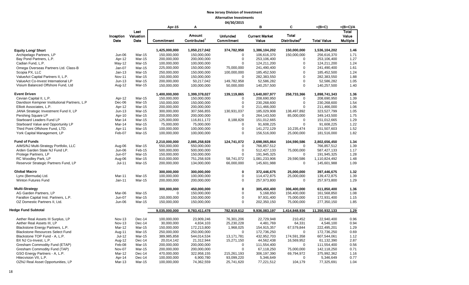|                                              |                   |                           | Apr-15        | A                     |                               | в                              | C                                        | $=(B+C)$           | $=(B+C)/A$                        |
|----------------------------------------------|-------------------|---------------------------|---------------|-----------------------|-------------------------------|--------------------------------|------------------------------------------|--------------------|-----------------------------------|
|                                              | Inception<br>Date | Last<br>Valuation<br>Date | Commitment    | Amount<br>Contributed | <b>Unfunded</b><br>Commitment | <b>Current Market</b><br>Value | <b>Total</b><br>Distributed <sup>2</sup> | <b>Total Value</b> | Total<br>Value<br><b>Multiple</b> |
|                                              |                   |                           |               |                       |                               |                                |                                          |                    |                                   |
| <b>Equity Long/ Short</b>                    |                   |                           | 1,425,000,000 | 1,050,217,042         | 374,782,958                   | 1,386,104,202                  | 150,000,000                              | 1,536,104,202      | 1.46                              |
| Archipelago Partners, LP                     | Jun-06            | Mar-15                    | 150,000,000   | 150,000,000           | $\mathbf 0$                   | 106,616,370                    | 150,000,000                              | 256,616,370        | 1.71                              |
| Bay Pond Partners, L.P.                      | Apr-12            | <b>Mar-15</b>             | 200,000,000   | 200,000,000           | $\mathbf 0$                   | 253,106,400                    | $\mathbf 0$                              | 253,106,400        | 1.27                              |
| Cadian Fund, L.P.                            | May-12            | Mar-15                    | 100,000,000   | 100,000,000           | $\Omega$                      | 124,211,200                    | 0                                        | 124,211,200        | 1.24                              |
| Omega Overseas Partners Ltd. Class-B         | Jan-07            | $Mar-15$                  | 225,000,000   | 150,000,000           | 75,000,000                    | 241,490,400                    | $\mathbf 0$                              | 241,490,400        | 1.61                              |
| Scopia PX, LLC                               | $Jan-13$          | Mar-15                    | 250,000,000   | 150,000,000           | 100,000,000                   | 185,452,500                    | $\overline{0}$                           | 185,452,500        | 1.24                              |
| ValueAct Capital Partners II, L.P.           | <b>Nov-11</b>     | <b>Mar-15</b>             | 150,000,000   | 150,000,000           | $\mathbf 0$                   | 282,383,550                    | $\mathbf 0$                              | 282,383,550        | 1.88                              |
| ValueAct Co-Invest International LP          | $Jun-13$          | Mar-15                    | 200,000,000   | 50,217,042            | 149,782,958                   | 52,586,282                     | $\mathbf 0$                              | 52,586,282         | 1.05                              |
| Visium Balanced Offshore Fund, Ltd           | Aug-12            | Mar-15                    | 150,000,000   | 100,000,000           | 50,000,000                    | 140,257,500                    | 0                                        | 140,257,500        | 1.40                              |
| <b>Event Driven</b>                          |                   |                           | 1,400,000,000 | 1,399,378,027         | 139,119,865                   | 1,640,007,977                  | 258,733,366                              | 1,898,741,343      | 1.36                              |
| Cevian Capital II, L.P.                      | Apr-12            | Mar-15                    | 150,000,000   | 150,000,000           | $\mathbf 0$                   | 208,690,950                    | $\Omega$                                 | 208,690,950        | 1.39                              |
| Davidson Kempner Institutional Partners, L.P | Dec-06            | <b>Mar-15</b>             | 150,000,000   | 150,000,000           | $\mathbf 0$                   | 230,268,600                    | $\mathbf 0$                              | 230,268,600        | 1.54                              |
| Elliott Associates, L.P.                     | Apr-12            | Mar-15                    | 200,000,000   | 200,000,000           | $\mathbf 0$                   | 211,466,000                    | $\mathbf 0$                              | 211,466,000        | 1.06                              |
| JANA Strategic Investment Fund II, LP        | $Jun-13$          | Mar-15                    | 300,000,000   | 307,566,855           | 130,931,037                   | 185,029,908                    | 138,497,892                              | 323,527,799        | 1.05                              |
| Pershing Square LP                           | Apr-10            | Mar-15                    | 200,000,000   | 200,000,000           | 0                             | 264,143,500                    | 85,000,000                               | 349,143,500        | 1.75                              |
| Starboard Leaders Fund LP                    | Mar-14            | $Mar-15$                  | 125,000,000   | 116,811,172           | 8,188,828                     | 151,012,665                    | $\mathbf 0$                              | 151,012,665        | 1.29                              |
| Starboard Value and Opportunity LP           | Mar-14            | Mar-15                    | 75,000,000    | 75,000,000            | 0                             | 91,608,225                     | 0                                        | 91,608,225         | 1.22                              |
| Third Point Offshore Fund, LTD.              | Apr-11            | <b>Mar-15</b>             | 100,000,000   | 100,000,000           | $\mathbf 0$                   | 141,272,129                    | 10,235,474                               | 151,507,603        | 1.52                              |
| York Capital Management, LP                  | Feb-07            | Mar-15                    | 100,000,000   | 100,000,000           | $\mathbf 0$                   | 156,516,000                    | 25,000,000                               | 181,516,000        | 1.82                              |
| <b>Fund of Funds</b>                         |                   |                           | 2,210,000,000 | 2,085,258,928         | 124,741,072                   | 2,698,065,864                  | 104,590,586                              | 2,802,656,450      | 1.34                              |
| AIMS/NJ Multi-Strategy Portfolio, LLC        | Aug-06            | <b>Mar-15</b>             | 550,000,000   | 550,000,000           | $\mathbf 0$                   | 766,857,512                    | $\mathbf 0$                              | 766,857,512        | 1.39                              |
| Arden Garden State NJ Fund LP.               | Jun-06            | Feb-15                    | 500,000,000   | 500,000,000           | $\mathbf 0$                   | 512,427,133                    | 75,000,000                               | 587,427,133        | 1.17                              |
| Protege Partners, LP                         | Jun-07            | <b>Mar-15</b>             | 150,000,000   | 150,000,000           | $\mathbf 0$                   | 191,945,325                    | $\mathbf 0$                              | 191,945,325        | 1.28                              |
| RC Woodley Park, LP                          | Aug-06            | Mar-15                    | 810,000,000   | 751,258,928           | 58,741,072                    | 1,081,233,906                  | 29,590,586                               | 1,110,824,492      | 1.48                              |
| Reservoir Strategic Partners Fund, LP        | $Jul-11$          | Mar-15                    | 200,000,000   | 134,000,000           | 66,000,000                    | 145,601,988                    | $\mathbf 0$                              | 145,601,988        | 1.09                              |
| <b>Global Macro</b>                          |                   |                           | 300,000,000   | 300,000,000           | $\mathbf 0$                   | 372,446,675                    | 25,000,000                               | 397,446,675        | 1.32                              |
| Lynx (Bermuda) Ltd.                          | Mar-11            | Mar-15                    | 100,000,000   | 100,000,000           | $\mathbf 0$                   | 114,472,875                    | 25,000,000                               | 139,472,875        | 1.39                              |
| Winton Futures Fund                          | $Jan-11$          | Mar-15                    | 200,000,000   | 200,000,000           | $\mathbf 0$                   | 257,973,800                    | $\mathbf 0$                              | 257,973,800        | 1.29                              |
| <b>Multi-Strategy</b>                        |                   |                           | 300,000,000   | 450,000,000           | $\bf{0}$                      | 305,450,400                    | 306,400,000                              | 611,850,400        | 1.36                              |
| AG Garden Partners, LP                       | Mar-06            | Mar-15                    | $\mathbf 0$   | 150,000,000           | $\mathbf 0$                   | 5,168,850                      | 156,400,000                              | 161,568,850        | 1.08                              |
| Farallon Capital Inst. Partners, L.P.        | Jun-07            | Mar-15                    | 150,000,000   | 150,000,000           | $\mathbf 0$                   | 97,931,400                     | 75,000,000                               | 172,931,400        | 1.15                              |
| OZ Domestic Partners II, Ltd.                | Jun-06            | Mar-15                    | 150,000,000   | 150,000,000           | $\Omega$                      | 202,350,150                    | 75,000,000                               | 277,350,150        | 1.85                              |
| Hedge Fund Subtotal                          |                   |                           | 9,035,000,000 | 8,783,411,478         | 782,919,612                   | 9,936,083,197                  | 1,414,848,936                            | 11,350,932,133     | 1.29                              |
| Aether Real Assets III Surplus, LP           | <b>Nov-13</b>     | $Dec-14$                  | 100,000,000   | 23,909,246            | 76,301,206                    | 22,729,948                     | 210,452                                  | 22,940,400         | 0.96                              |
| Aether Real Assets III, LP                   | <b>Nov-13</b>     | Dec-14                    | 30,000,000    | 4,834,103             | 25,230,228                    | 4,481,769                      | 64,331                                   | 4,546,100          | 0.94                              |
| Blackstone Energy Partners, L.P.             | Mar-12            | Mar-15                    | 150,000,000   | 172,213,800           | 1,968,025                     | 154,915,357                    | 67,579,844                               | 222,495,201        | 1.29                              |
| <b>Blackstone Resources Select Fund</b>      | Aug-11            | <b>Mar-15</b>             | 250,000,000   | 250,000,000           | $\mathbf 0$                   | 172,736,250                    | $\mathbf 0$                              | 172,736,250        | 0.69                              |
| Blackstone TOP Fund - A, L.P.                | $Jul-12$          | Mar-15                    | 389,985,858   | 544,014,534           | 13,171,781                    | 432,952,703                    | 174,591,358                              | 607,544,061        | 1.12                              |
| BX NJ Co-Invest, L.P.                        | Aug-12            | Dec-14                    | 20,014,142    | 21,312,944            | 15,271,150                    | 44,562,438                     | 16,569,952                               | 61,132,390         | 2.87                              |
| Gresham Commodity Fund (ETAP)                | Feb-08            | Mar-15                    | 200,000,000   | 200,000,000           | $\mathbf 0$                   | 111,554,400                    | $\mathbf 0$                              | 111,554,400        | 0.56                              |
| Gresham Commodity Fund (TAP)                 | Nov-07            | Mar-15                    | 200,000,000   | 200,000,000           | $\mathbf 0$                   | 67,118,250                     | 75,000,000                               | 142,118,250        | 0.71                              |
| GSO Energy Partners - A, L.P.                | Mar-12            | Dec-14                    | 470,000,000   | 322,958,155           | 215,261,193                   | 306,197,390                    | 69,794,972                               | 375,992,362        | 1.16                              |
| Hitecvision VII, L.P.                        | Apr-14            | Dec-14                    | 100,000,000   | 6,900,780             | 93,099,220                    | 5,346,649                      | $\mathbf 0$                              | 5,346,649          | 0.77                              |
| OZNJ Real Asset Opportunities, LP            | Mar-13            | Mar-15                    | 100,000,000   | 74,362,559            | 25,741,620                    | 77,221,512                     | 104,179                                  | 77,325,691         | 1.04                              |
|                                              |                   |                           |               |                       |                               |                                |                                          |                    |                                   |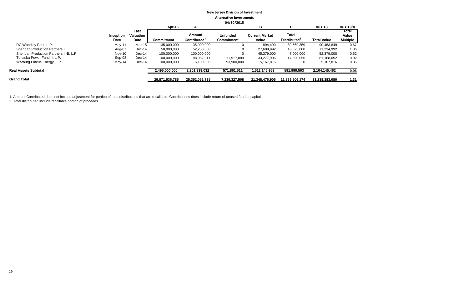|                                        |                   |                           | Apr-15         | A                                  |                               | в                              | C                                        | $=(B+C)$           | $=(B+C)/A$                 |
|----------------------------------------|-------------------|---------------------------|----------------|------------------------------------|-------------------------------|--------------------------------|------------------------------------------|--------------------|----------------------------|
|                                        | Inception<br>Date | Last<br>Valuation<br>Date | Commitment     | Amount<br>Contributed <sup>1</sup> | <b>Unfunded</b><br>Commitment | <b>Current Market</b><br>Value | <b>Total</b><br>Distributed <sup>2</sup> | <b>Total Value</b> | Total<br>Value<br>Multiple |
| RC Woodley Park, L.P.                  | $May-11$          | Mar-15                    | 135,000,000    | 135,000,000                        |                               | 894.490                        | 89,569,359                               | 90,463,849         | 0.67                       |
| <b>Sheridan Production Partners I</b>  | Aug-07            | Dec-14                    | 50,000,000     | 52,250,000                         |                               | 27,609,992                     | 43.625.000                               | 71.234.992         | 1.36                       |
| Sheridan Production Partners II-B, L.P | Nov-10            | $Dec-14$                  | 100,000,000    | 100,000,000                        |                               | 45,379,000                     | 7,000,000                                | 52,379,000         | 0.52                       |
| Tenaska Power Fund II, L.P.            | Sep-08            | $Dec-14$                  | 100,000,000    | 88,082,911                         | 11,917,089                    | 33,277,996                     | 47,890,056                               | 81,168,052         | 0.92                       |
| Warburg Pincus Energy, L.P.            | $May-14$          | Dec-14                    | 100,000,000    | 6,100,000                          | 93,900,000                    | 5,167,816                      | 0                                        | 5.167.816          | 0.85                       |
| <b>Real Assets Subtotal</b>            |                   |                           | 2,495,000,000  | 2,201,939,032                      | 571,861,511                   | 1,512,145,959                  | 591,999,503                              | 2,104,145,462      | 0.96                       |
| <b>Grand Total</b>                     |                   |                           | 29,871,536,785 | 25,352,052,735                     | 7.239.327.508                 | 21.348.476.906                 | 11.889.906.174                           | 33,238,383,080     | 1.31                       |
|                                        |                   |                           |                |                                    |                               |                                |                                          |                    |                            |

1. Amount Contributed does not include adjustment for portion of total distributions that are recallable. Contributions does include return of unused funded capital.

2. Total distributed include recallable portion of proceeds.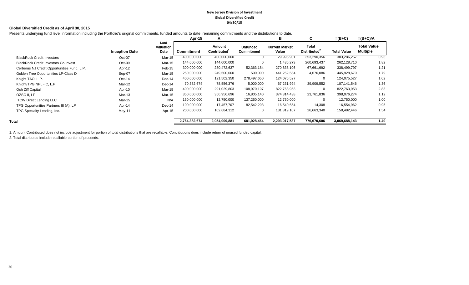#### **New Jersey Division of Investment Global Diversified Credit 04/30/15**

### **Global Diversified Credit as of April 30, 2015**

Presents underlying fund level information including the Portfolio's original commitments, funded amounts to date, remaining commitments and the distributions to date.

|                                             |                       |                           | Apr-15        | A                            |                        | в                              | C                                 | $=(B+C)$           | $=(B+C)/A$                            |
|---------------------------------------------|-----------------------|---------------------------|---------------|------------------------------|------------------------|--------------------------------|-----------------------------------|--------------------|---------------------------------------|
|                                             | <b>Inception Date</b> | Last<br>Valuation<br>Date | Commitment    | Amount<br><b>Contributed</b> | Unfunded<br>Commitment | <b>Current Market</b><br>Value | Total<br>Distributed <sup>2</sup> | <b>Total Value</b> | <b>Total Value</b><br><b>Multiple</b> |
| <b>BlackRock Credit Investors</b>           | Oct-07                | Mar-15                    | 400,000,000   | 400,000,000                  | 0                      | 29,995,901                     | 353,290,356                       | 383,286,257        | 0.96                                  |
| <b>BlackRock Credit Investors Co-Invest</b> | $Oct-09$              | Mar-15                    | 144,000,000   | 144,000,000                  | 0                      | 1,435,273                      | 260,693,437                       | 262,128,710        | 1.82                                  |
| Cerberus NJ Credit Opportunities Fund, L.P. | Apr-12                | Feb-15                    | 300,000,000   | 280,472,637                  | 52,363,184             | 270,838,106                    | 67,661,692                        | 338,499,797        | 1.21                                  |
| Golden Tree Opportunities LP-Class D        | Sep-07                | Mar-15                    | 250,000,000   | 249,500,000                  | 500,000                | 441,252,584                    | 4,676,086                         | 445,928,670        | 1.79                                  |
| Knight TAO, L.P.                            | $Oct-14$              | $Dec-14$                  | 400,000,000   | 121,502,350                  | 278,497,650            | 124,075,527                    | 0                                 | 124,075,527        | 1.02                                  |
| Knight/TPG NPL - C, L.P.                    | Mar-12                | $Dec-14$                  | 70,382,674    | 78,556,376                   | 5,000,000              | 67,231,994                     | 39,909,552                        | 107,141,546        | 1.36                                  |
| Och Ziff Capital                            | Apr-10                | Mar-15                    | 400,000,000   | 291,029,803                  | 108,970,197            | 822,763,953                    | $\Omega$                          | 822,763,953        | 2.83                                  |
| OZSC II, LP                                 | Mar-13                | Mar-15                    | 350,000,000   | 356,956,696                  | 16,805,140             | 374,314,438                    | 23,761,836                        | 398,076,274        | 1.12                                  |
| <b>TCW Direct Lending LLC</b>               | Mar-15                | N/A                       | 150,000,000   | 12,750,000                   | 137,250,000            | 12,750,000                     | $\Omega$                          | 12,750,000         | 1.00                                  |
| TPG Opportunities Partners III (A), LP      | Apr-14                | $Dec-14$                  | 100,000,000   | 17,457,707                   | 82,542,293             | 16,540,654                     | 14,308                            | 16,554,962         | 0.95                                  |
| TPG Specialty Lending, Inc.                 | May-11                | Apr-15                    | 200,000,000   | 102,684,312                  | $\overline{0}$         | 131,819,107                    | 26,663,340                        | 158,482,446        | 1.54                                  |
| Total                                       |                       |                           | 2,764,382,674 | 2,054,909,881                | 681,928,464            | 2,293,017,537                  | 776,670,606                       | 3,069,688,143      | 1.49                                  |

1. Amount Contributed does not include adjustment for portion of total distributions that are recallable. Contributions does include return of unused funded capital.

2. Total distributed include recallable portion of proceeds.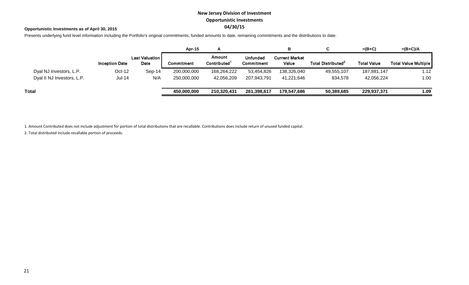# **New Jersey Division of Investment Opportunistic Investments 04/30/15**

## **Opportunistic Investments as of April 30, 2015**

Presents underlying fund level information including the Portfolio's original commitments, funded amounts to date, remaining commitments and the distributions to date.

|                            |                       |                               | <b>Apr-15</b> |                       |                        | В                              |                                | $=(B+C)$           | $=(B+C)/A$                  |
|----------------------------|-----------------------|-------------------------------|---------------|-----------------------|------------------------|--------------------------------|--------------------------------|--------------------|-----------------------------|
|                            | <b>Inception Date</b> | <b>Last Valuation</b><br>Date | Commitment    | Amount<br>Contributed | Unfunded<br>Commitment | <b>Current Market</b><br>Value | Total Distributed <sup>2</sup> | <b>Total Value</b> | <b>Total Value Multiple</b> |
| Dyal NJ Investors, L.P.    | $Oct-12$              | $Sep-14$                      | 200,000,000   | 168,264,222           | 53,454,826             | 138,326,040                    | 49,555,107                     | 187,881,147        | 1.12                        |
| Dyal II NJ Investors, L.P. | Jul-14                | N/A                           | 250,000,000   | 42,056,209            | 207,943,791            | 41,221,646                     | 834,578                        | 42,056,224         | 1.00                        |
| Total                      |                       |                               | 450,000,000   | 210,320,431           | 261,398,617            | 179,547,686                    | 50,389,685                     | 229,937,371        | 1.09                        |

1. Amount Contributed does not include adjustment for portion of total distributions that are recallable. Contributions does include return of unused funded capital.

2. Total distributed include recallable portion of proceeds.